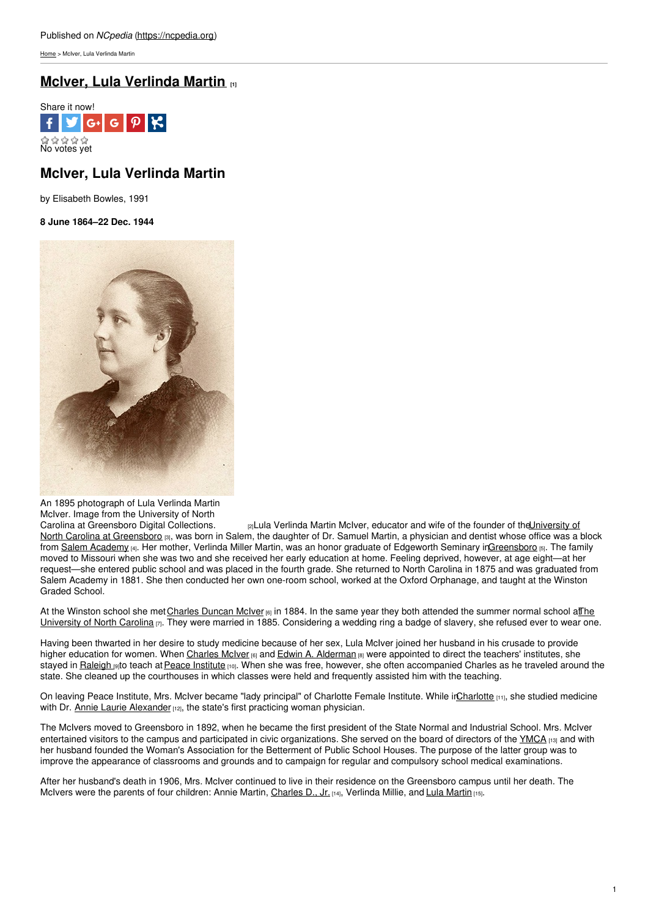[Home](https://ncpedia.org/) > McIver, Lula Verlinda Martin

# **McIver, Lula [Verlinda](https://ncpedia.org/biography/mciver-lula-verlinda) Martin [1]**



## **McIver, Lula Verlinda Martin**

by Elisabeth Bowles, 1991

**8 June 1864–22 Dec. 1944**



An 1895 photograph of Lula Verlinda Martin McIver. Image from the University of North

Carolina at [Greensboro](http://libcdm1.uncg.edu/cdm/ref/collection/ui/id/6407) Digital Collections.  $_{[2]}L$ ula Verlinda Martin McIver, educator and wife of the founder of the University of North Carolina at Greensboro [3], was born in Salem, the daughter of Dr. Samuel Martin, a physician and dentist whose office was a block from Salem [Academy](https://ncpedia.org/salem-academy-and-salem-college) [4]. Her mother, Verlinda Miller Martin, was an honor graduate of Edgeworth Seminary i[nGreensboro](https://ncpedia.org/greensboro) [5]. The family moved to Missouri when she was two and she received her early education at home. Feeling deprived, however, at age eight—at her request—she entered public school and was placed in the fourth grade. She returned to North Carolina in 1875 and was graduated from Salem Academy in 1881. She then conducted her own one-room school, worked at the Oxford Orphanage, and taught at the Winston Graded School.

At the Winston school she met [Charles](https://ncpedia.org/biography/mciver-charles-duncan) Duncan McIver [6] in 1884. In the same year they both attended the summer normal school at The University of North Carolina  $\alpha$ . They were married in 1885. [Considering](https://ncpedia.org/university-north-carolina-chapel-hi) a wedding ring a badge of slavery, she refused ever to wear one.

Having been thwarted in her desire to study medicine because of her sex, Lula McIver joined her husband in his crusade to provide higher education for women. When [Charles](https://ncpedia.org/biography/mciver-charles-duncan) McIver [6] and Edwin A. [Alderman](https://ncpedia.org/biography/alderman-edwin-anderson) [8] were appointed to direct the teachers' institutes, she stayed in [Raleigh](https://ncpedia.org/raleigh) [9]to teach at Peace [Institute](https://ncpedia.org/peace-college) [10]. When she was free, however, she often accompanied Charles as he traveled around the state. She cleaned up the courthouses in which classes were held and frequently assisted him with the teaching.

On leaving Peace Institute, Mrs. McIver became "lady principal" of Charlotte Female Institute. While irCharlotte [11], she studied medicine with Dr. Annie Laurie [Alexander](https://ncpedia.org/biography/alexander-annie) [12], the state's first practicing woman physician.

The McIvers moved to Greensboro in 1892, when he became the first president of the State Normal and Industrial School. Mrs. McIver entertained visitors to the campus and participated in civic organizations. She served on the board of directors of the [YMCA](https://ncpedia.org/ymca-and-ywca) [13] and with her husband founded the Woman's Association for the Betterment of Public School Houses. The purpose of the latter group was to improve the appearance of classrooms and grounds and to campaign for regular and compulsory school medical examinations.

After her husband's death in 1906, Mrs. McIver continued to live in their residence on the Greensboro campus until her death. The McIvers were the parents of four children: Annie Martin, [Charles](http://www.carolinaalumnireview.com/carolinaalumnireview/194806?pg=22#pg22) D., Jr. [14], Verlinda Millie, and Lula [Martin](https://archive.org/stream/pineneedlesseria00nort#page/48/mode/2up/search/mciver) [15].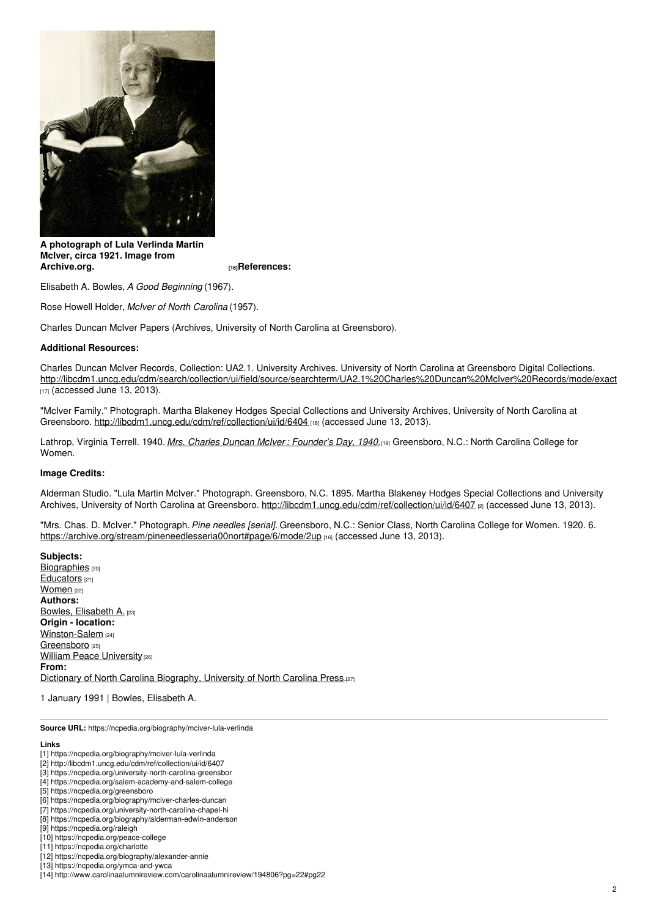

**A photograph of Lula Verlinda Martin McIver, circa 1921. Image from**

**[Archive.org.](https://archive.org/stream/pineneedlesseria00nort#page/6/mode/2up) [16]References:**

Elisabeth A. Bowles, *A Good Beginning* (1967).

Rose Howell Holder, *McIver of North Carolina* (1957).

Charles Duncan McIver Papers (Archives, University of North Carolina at Greensboro).

### **Additional Resources:**

Charles Duncan McIver Records, Collection: UA2.1. University Archives. University of North Carolina at Greensboro Digital Collections. [http://libcdm1.uncg.edu/cdm/search/collection/ui/field/source/searchterm/UA2.1%20Charles%20Duncan%20McIver%20Records/mode/exact](http://libcdm1.uncg.edu/cdm/search/collection/ui/field/source/searchterm/UA2.1 Charles Duncan McIver Records/mode/exact)  $117$  (accessed June 13, 2013).

"McIver Family." Photograph. Martha Blakeney Hodges Special Collections and University Archives, University of North Carolina at Greensboro. <http://libcdm1.uncg.edu/cdm/ref/collection/ui/id/6404> [18] (accessed June 13, 2013).

Lathrop, Virginia Terrell. 1940. *Mrs. Charles Duncan McIver : [Founder's](http://search.lib.unc.edu/search?R=UNCb6050028) Day, 1940.*[19] Greensboro, N.C.: North Carolina College for Women.

### **Image Credits:**

Alderman Studio. "Lula Martin McIver." Photograph. Greensboro, N.C. 1895. Martha Blakeney Hodges Special Collections and University Archives, University of North Carolina at Greensboro. <http://libcdm1.uncg.edu/cdm/ref/collection/ui/id/6407> [2] (accessed June 13, 2013).

"Mrs. Chas. D. McIver." Photograph.*Pine needles [serial].* Greensboro, N.C.: Senior Class, North Carolina College for Women. 1920. 6. <https://archive.org/stream/pineneedlesseria00nort#page/6/mode/2up> [16] (accessed June 13, 2013).

**Subjects:** [Biographies](https://ncpedia.org/category/subjects/biography-term) [20] [Educators](https://ncpedia.org/category/subjects/educators) [21] [Women](https://ncpedia.org/category/subjects/women) [22] **Authors:** Bowles, [Elisabeth](https://ncpedia.org/category/authors/bowles-elisabeth) A. [23] **Origin - location:** [Winston-Salem](https://ncpedia.org/category/origin-location/piedmon-20) [24] [Greensboro](https://ncpedia.org/category/origin-location/piedmon-21) [25] **William Peace [University](https://ncpedia.org/category/origin-location/piedmon-52) [26] From:** Dictionary of North Carolina [Biography,](https://ncpedia.org/category/entry-source/dictionary-no) University of North Carolina Press.[27]

1 January 1991 | Bowles, Elisabeth A.

**Source URL:** https://ncpedia.org/biography/mciver-lula-verlinda

#### **Links**

- [1] https://ncpedia.org/biography/mciver-lula-verlinda
- [2] http://libcdm1.uncg.edu/cdm/ref/collection/ui/id/6407
- [3] https://ncpedia.org/university-north-carolina-greensbor
- [4] https://ncpedia.org/salem-academy-and-salem-college
- [5] https://ncpedia.org/greensboro
- [6] https://ncpedia.org/biography/mciver-charles-duncan
- [7] https://ncpedia.org/university-north-carolina-chapel-hi [8] https://ncpedia.org/biography/alderman-edwin-anderson
- [9] https://ncpedia.org/raleigh
- [10] https://ncpedia.org/peace-college
- [11] https://ncpedia.org/charlotte
- [12] https://ncpedia.org/biography/alexander-annie
- [13] https://ncpedia.org/ymca-and-ywca
- [14] http://www.carolinaalumnireview.com/carolinaalumnireview/194806?pg=22#pg22